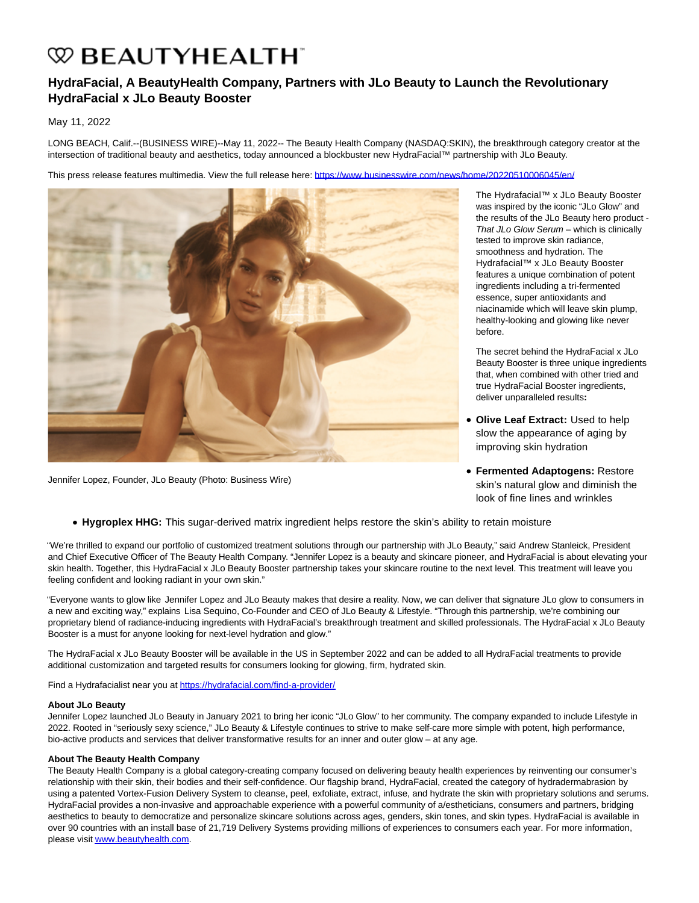# **W BEAUTYHEALTH**

## **HydraFacial, A BeautyHealth Company, Partners with JLo Beauty to Launch the Revolutionary HydraFacial x JLo Beauty Booster**

### May 11, 2022

LONG BEACH, Calif.--(BUSINESS WIRE)--May 11, 2022-- The Beauty Health Company (NASDAQ:SKIN), the breakthrough category creator at the intersection of traditional beauty and aesthetics, today announced a blockbuster new HydraFacial™ partnership with JLo Beauty.

This press release features multimedia. View the full release here:<https://www.businesswire.com/news/home/20220510006045/en/>



Jennifer Lopez, Founder, JLo Beauty (Photo: Business Wire)

The Hydrafacial™ x JLo Beauty Booster was inspired by the iconic "JLo Glow" and the results of the JLo Beauty hero product - That JLo Glow Serum – which is clinically tested to improve skin radiance, smoothness and hydration. The Hydrafacial™ x JLo Beauty Booster features a unique combination of potent ingredients including a tri-fermented essence, super antioxidants and niacinamide which will leave skin plump, healthy-looking and glowing like never before.

The secret behind the HydraFacial x JLo Beauty Booster is three unique ingredients that, when combined with other tried and true HydraFacial Booster ingredients, deliver unparalleled results**:**

- **Olive Leaf Extract:** Used to help slow the appearance of aging by improving skin hydration
- **Fermented Adaptogens:** Restore skin's natural glow and diminish the look of fine lines and wrinkles

**Hygroplex HHG:** This sugar-derived matrix ingredient helps restore the skin's ability to retain moisture

"We're thrilled to expand our portfolio of customized treatment solutions through our partnership with JLo Beauty," said Andrew Stanleick, President and Chief Executive Officer of The Beauty Health Company. "Jennifer Lopez is a beauty and skincare pioneer, and HydraFacial is about elevating your skin health. Together, this HydraFacial x JLo Beauty Booster partnership takes your skincare routine to the next level. This treatment will leave you feeling confident and looking radiant in your own skin."

"Everyone wants to glow like Jennifer Lopez and JLo Beauty makes that desire a reality. Now, we can deliver that signature JLo glow to consumers in a new and exciting way," explains Lisa Sequino, Co-Founder and CEO of JLo Beauty & Lifestyle. "Through this partnership, we're combining our proprietary blend of radiance-inducing ingredients with HydraFacial's breakthrough treatment and skilled professionals. The HydraFacial x JLo Beauty Booster is a must for anyone looking for next-level hydration and glow."

The HydraFacial x JLo Beauty Booster will be available in the US in September 2022 and can be added to all HydraFacial treatments to provide additional customization and targeted results for consumers looking for glowing, firm, hydrated skin.

Find a Hydrafacialist near you at [https://hydrafacial.com/find-a-provider/](https://cts.businesswire.com/ct/CT?id=smartlink&url=https%3A%2F%2Fhydrafacial.com%2Ffind-a-provider%2F&esheet=52714314&newsitemid=20220510006045&lan=en-US&anchor=https%3A%2F%2Fhydrafacial.com%2Ffind-a-provider%2F&index=1&md5=fd30af6a1d6904a414568eb47d32c6a2)

#### **About JLo Beauty**

Jennifer Lopez launched JLo Beauty in January 2021 to bring her iconic "JLo Glow" to her community. The company expanded to include Lifestyle in 2022. Rooted in "seriously sexy science," JLo Beauty & Lifestyle continues to strive to make self-care more simple with potent, high performance, bio-active products and services that deliver transformative results for an inner and outer glow – at any age.

#### **About The Beauty Health Company**

The Beauty Health Company is a global category-creating company focused on delivering beauty health experiences by reinventing our consumer's relationship with their skin, their bodies and their self-confidence. Our flagship brand, HydraFacial, created the category of hydradermabrasion by using a patented Vortex-Fusion Delivery System to cleanse, peel, exfoliate, extract, infuse, and hydrate the skin with proprietary solutions and serums. HydraFacial provides a non-invasive and approachable experience with a powerful community of a/estheticians, consumers and partners, bridging aesthetics to beauty to democratize and personalize skincare solutions across ages, genders, skin tones, and skin types. HydraFacial is available in over 90 countries with an install base of 21,719 Delivery Systems providing millions of experiences to consumers each year. For more information, please visi[t www.beautyhealth.com.](https://cts.businesswire.com/ct/CT?id=smartlink&url=http%3A%2F%2Fwww.beautyhealth.com&esheet=52714314&newsitemid=20220510006045&lan=en-US&anchor=www.beautyhealth.com&index=2&md5=31efe4d773a6d57f5e478f58ee5e6911)